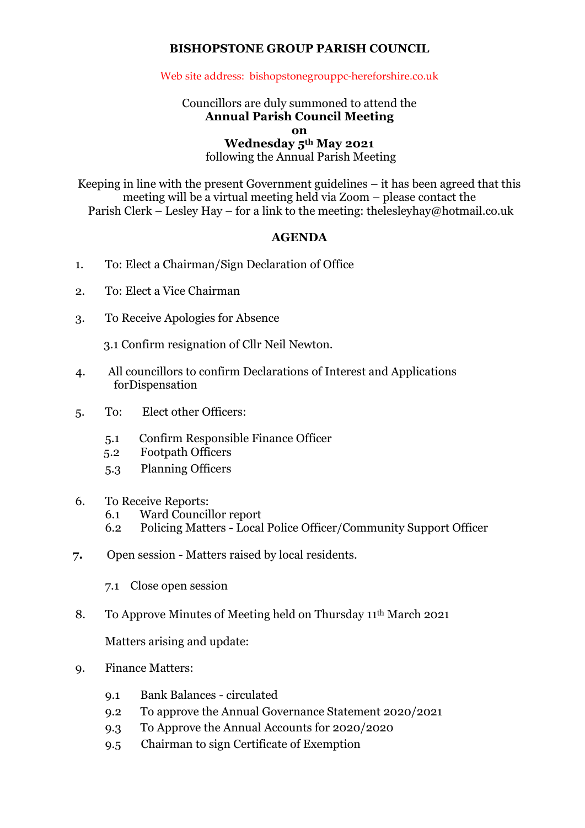## **BISHOPSTONE GROUP PARISH COUNCIL**

## Web site address: bishopstonegrouppc-hereforshire.co.uk

## Councillors are duly summoned to attend the **Annual Parish Council Meeting**

**on**

**Wednesday 5th May 2021**

following the Annual Parish Meeting

Keeping in line with the present Government guidelines – it has been agreed that this meeting will be a virtual meeting held via Zoom – please contact the Parish Clerk – Lesley Hay – for a link to the meeting: thelesleyhay@hotmail.co.uk

## **AGENDA**

- 1. To: Elect a Chairman/Sign Declaration of Office
- 2. To: Elect a Vice Chairman
- 3. To Receive Apologies for Absence

3.1 Confirm resignation of Cllr Neil Newton.

- 4. All councillors to confirm Declarations of Interest and Applications forDispensation
- 5. To: Elect other Officers:
	- 5.1 Confirm Responsible Finance Officer
	- 5.2 Footpath Officers
	- 5.3 Planning Officers
- 6. To Receive Reports:
	- 6.1 Ward Councillor report
	- 6.2 Policing Matters Local Police Officer/Community Support Officer
- **7.** Open session Matters raised by local residents.
	- 7.1 Close open session
- 8. To Approve Minutes of Meeting held on Thursday 11th March 2021

Matters arising and update:

- 9. Finance Matters:
	- 9.1 Bank Balances circulated
	- 9.2 To approve the Annual Governance Statement 2020/2021
	- 9.3 To Approve the Annual Accounts for 2020/2020
	- 9.5 Chairman to sign Certificate of Exemption